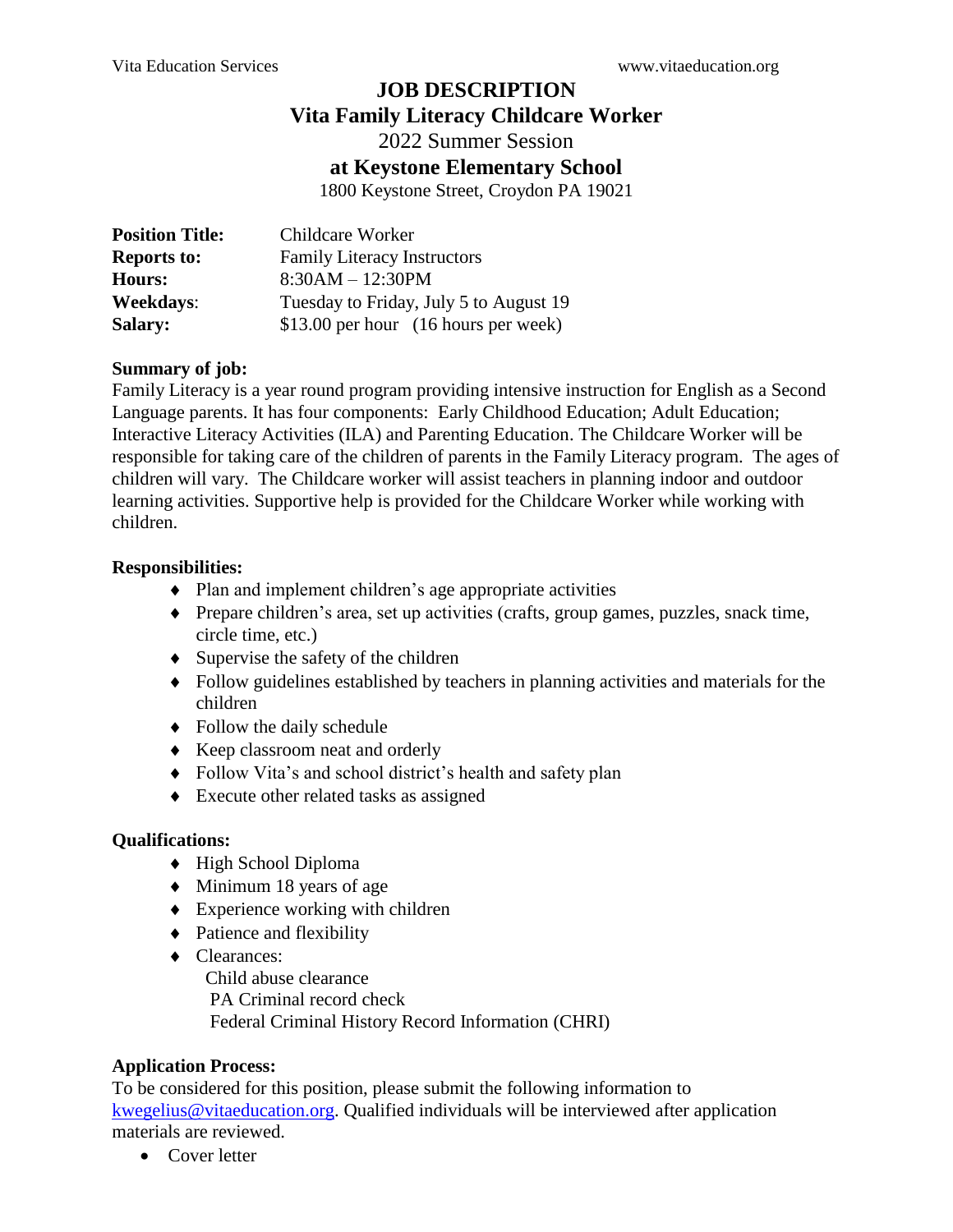# **JOB DESCRIPTION**

## **Vita Family Literacy Childcare Worker**

2022 Summer Session

### **at Keystone Elementary School**

1800 Keystone Street, Croydon PA 19021

| <b>Position Title:</b> | Childcare Worker                       |
|------------------------|----------------------------------------|
| <b>Reports to:</b>     | <b>Family Literacy Instructors</b>     |
| <b>Hours:</b>          | $8:30AM - 12:30PM$                     |
| <b>Weekdays:</b>       | Tuesday to Friday, July 5 to August 19 |
| <b>Salary:</b>         | \$13.00 per hour (16 hours per week)   |

#### **Summary of job:**

Family Literacy is a year round program providing intensive instruction for English as a Second Language parents. It has four components: Early Childhood Education; Adult Education; Interactive Literacy Activities (ILA) and Parenting Education. The Childcare Worker will be responsible for taking care of the children of parents in the Family Literacy program. The ages of children will vary. The Childcare worker will assist teachers in planning indoor and outdoor learning activities. Supportive help is provided for the Childcare Worker while working with children.

#### **Responsibilities:**

- Plan and implement children's age appropriate activities
- Prepare children's area, set up activities (crafts, group games, puzzles, snack time, circle time, etc.)
- Supervise the safety of the children
- Follow guidelines established by teachers in planning activities and materials for the children
- Follow the daily schedule
- Keep classroom neat and orderly
- Follow Vita's and school district's health and safety plan
- Execute other related tasks as assigned

## **Qualifications:**

- High School Diploma
- $\blacklozenge$  Minimum 18 years of age
- Experience working with children
- Patience and flexibility
- ◆ Clearances: Child abuse clearance PA Criminal record check Federal Criminal History Record Information (CHRI)

## **Application Process:**

To be considered for this position, please submit the following information to [kwegelius@vitaeducation.org.](mailto:kwegelius@vitaeducation.org) Qualified individuals will be interviewed after application materials are reviewed.

• Cover letter